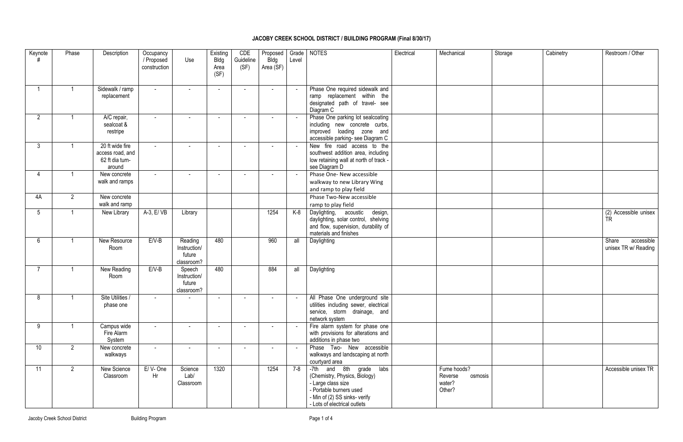## **JACOBY CREEK SCHOOL DISTRICT / BUILDING PROGRAM (Final 8/30/17)**

| Keynote        | Phase          | Description                                                      | Occupancy<br>/ Proposed<br>construction | Use                                             | Existing<br><b>Bldg</b><br>Area<br>(SF) | CDE<br>Guideline<br>(SF) | Proposed<br>Bldg<br>Area (SF) | Grade<br>Level | <b>NOTES</b>                                                                                                                                                               | Electrical | Mechanical                                            | Storage | Cabinetry | Restroom / Other                            |
|----------------|----------------|------------------------------------------------------------------|-----------------------------------------|-------------------------------------------------|-----------------------------------------|--------------------------|-------------------------------|----------------|----------------------------------------------------------------------------------------------------------------------------------------------------------------------------|------------|-------------------------------------------------------|---------|-----------|---------------------------------------------|
|                |                | Sidewalk / ramp<br>replacement                                   | $\blacksquare$                          | $\overline{\phantom{a}}$                        | $\sim$                                  | $\sim$                   | $\blacksquare$                | $\sim$         | Phase One required sidewalk and<br>ramp replacement within the<br>designated path of travel- see<br>Diagram C                                                              |            |                                                       |         |           |                                             |
| $\overline{2}$ |                | A/C repair,<br>sealcoat &<br>restripe                            | $\blacksquare$                          |                                                 |                                         | $\sim$                   | $\blacksquare$                |                | Phase One parking lot sealcoating<br>including new concrete curbs,<br>improved loading zone and<br>accessible parking- see Diagram C                                       |            |                                                       |         |           |                                             |
| $\mathbf{3}$   |                | 20 ft wide fire<br>access road, and<br>62 ft dia turn-<br>around | $\blacksquare$                          | $\overline{\phantom{a}}$                        | $\sim$                                  | $\sim$                   | $\sim$                        | $\sim$         | New fire road access to the<br>southwest addition area, including<br>low retaining wall at north of track -<br>see Diagram D                                               |            |                                                       |         |           |                                             |
|                | $\overline{1}$ | New concrete<br>walk and ramps                                   | $\sim$                                  |                                                 | $\sim$                                  | $\sim$                   |                               | $\sim$         | Phase One- New accessible<br>walkway to new Library Wing<br>and ramp to play field                                                                                         |            |                                                       |         |           |                                             |
| 4A             | $\overline{2}$ | New concrete<br>walk and ramp                                    |                                         |                                                 |                                         |                          |                               |                | Phase Two-New accessible<br>ramp to play field                                                                                                                             |            |                                                       |         |           |                                             |
| 5              |                | New Library                                                      | A-3, E/ VB                              | Library                                         |                                         |                          | 1254                          | K-8            | Daylighting, acoustic<br>design,<br>daylighting, solar control, shelving<br>and flow, supervision, durability of<br>materials and finishes                                 |            |                                                       |         |           | (2) Accessible unisex<br><b>TR</b>          |
| 6              | $\overline{1}$ | New Resource<br>Room                                             | $E/V-B$                                 | Reading<br>Instruction/<br>future<br>classroom? | 480                                     |                          | 960                           | all            | Daylighting                                                                                                                                                                |            |                                                       |         |           | Share<br>accessible<br>unisex TR w/ Reading |
|                |                | New Reading<br>Room                                              | E/V-B                                   | Speech<br>Instruction/<br>future<br>classroom?  | 480                                     |                          | 884                           | all            | Daylighting                                                                                                                                                                |            |                                                       |         |           |                                             |
| 8              | $\overline{1}$ | Site Utilities /<br>phase one                                    |                                         |                                                 |                                         |                          |                               |                | All Phase One underground site<br>utilities including sewer, electrical<br>service, storm drainage, and<br>network system                                                  |            |                                                       |         |           |                                             |
| 9              |                | Campus wide<br>Fire Alarm<br>System                              | $\sim$                                  |                                                 |                                         | $\overline{a}$           |                               | $\sim$         | Fire alarm system for phase one<br>with provisions for alterations and<br>additions in phase two                                                                           |            |                                                       |         |           |                                             |
| 10             | $\overline{2}$ | New concrete<br>walkways                                         | $\sim$                                  | $\sim$                                          |                                         | $\overline{a}$           |                               | $\sim$         | Phase Two- New accessible<br>walkways and landscaping at north<br>courtyard area                                                                                           |            |                                                       |         |           |                                             |
| 11             | $\overline{2}$ | New Science<br>Classroom                                         | E/V-One<br>Hr                           | Science<br>Lab/<br>Classroom                    | 1320                                    |                          | 1254                          | $7 - 8$        | -7th and 8th grade labs<br>(Chemistry, Physics, Biology)<br>- Large class size<br>- Portable burners used<br>- Min of (2) SS sinks- verify<br>- Lots of electrical outlets |            | Fume hoods?<br>Reverse<br>osmosis<br>water?<br>Other? |         |           | Accessible unisex TR                        |

| rage | Cabinetry | Restroom / Other                         |
|------|-----------|------------------------------------------|
|      |           |                                          |
|      |           |                                          |
|      |           |                                          |
|      |           |                                          |
|      |           |                                          |
|      |           | (2) Accessible unisex<br>TR              |
|      |           | Share accessible<br>unisex TR w/ Reading |
|      |           |                                          |
|      |           |                                          |
|      |           |                                          |
|      |           |                                          |
|      |           | Accessible unisex TR                     |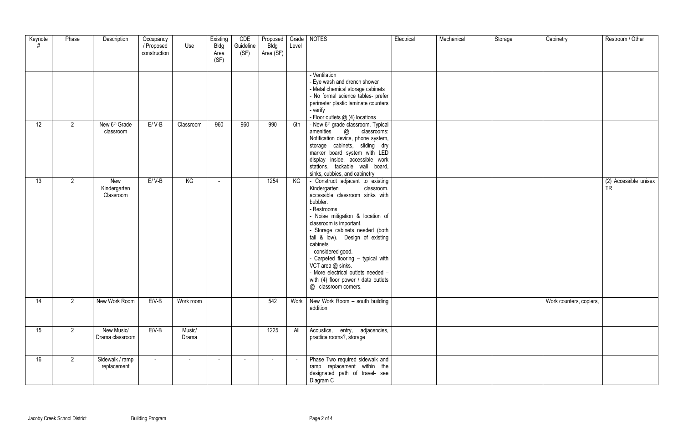| Keynote | Phase          | Description                            | Occupancy<br>/ Proposed<br>construction | Use             | Existing<br><b>Bldg</b><br>Area<br>(SF) | CDE<br>Guideline<br>(SF) | Proposed   Grade<br><b>Bldg</b><br>Area (SF) | Level  | <b>NOTES</b>                                                                                                                                                                                                                                                                                                                                                                                                                                                      | Electrical | Mechanical | Storage | Cabinetry               | Restroom / Other             |
|---------|----------------|----------------------------------------|-----------------------------------------|-----------------|-----------------------------------------|--------------------------|----------------------------------------------|--------|-------------------------------------------------------------------------------------------------------------------------------------------------------------------------------------------------------------------------------------------------------------------------------------------------------------------------------------------------------------------------------------------------------------------------------------------------------------------|------------|------------|---------|-------------------------|------------------------------|
|         |                |                                        |                                         |                 |                                         |                          |                                              |        | - Ventilation<br>- Eye wash and drench shower<br>- Metal chemical storage cabinets<br>- No formal science tables- prefer<br>perimeter plastic laminate counters<br>- verify<br>- Floor outlets @ (4) locations                                                                                                                                                                                                                                                    |            |            |         |                         |                              |
| 12      | $\overline{2}$ | New 6 <sup>th</sup> Grade<br>classroom | $E / V-B$                               | Classroom       | 960                                     | 960                      | 990                                          | 6th    | - New 6 <sup>th</sup> grade classroom. Typical<br>amenities @<br>classrooms:<br>Notification device, phone system,<br>storage cabinets, sliding dry<br>marker board system with LED<br>display inside, accessible work<br>stations, tackable wall board,<br>sinks, cubbies, and cabinetry                                                                                                                                                                         |            |            |         |                         |                              |
| 13      | $\overline{2}$ | New<br>Kindergarten<br>Classroom       | $E / V-B$                               | KG              |                                         |                          | 1254                                         | KG     | - Construct adjacent to existing<br>Kindergarten<br>classroom.<br>accessible classroom sinks with<br>bubbler.<br>- Restrooms<br>- Noise mitigation & location of<br>classroom is important.<br>- Storage cabinets needed (both<br>tall & low). Design of existing<br>cabinets<br>considered good.<br>- Carpeted flooring - typical with<br>VCT area @ sinks.<br>- More electrical outlets needed -<br>with (4) floor power / data outlets<br>@ classroom corners. |            |            |         |                         | (2) Accessible unisex<br>TR. |
| 14      | $\overline{2}$ | New Work Room                          | $E/V-B$                                 | Work room       |                                         |                          | 542                                          | Work   | New Work Room - south building<br>addition                                                                                                                                                                                                                                                                                                                                                                                                                        |            |            |         | Work counters, copiers, |                              |
| 15      | $\overline{2}$ | New Music/<br>Drama classroom          | $E/V-B$                                 | Music/<br>Drama |                                         |                          | 1225                                         | All    | Acoustics, entry, adjacencies,<br>practice rooms?, storage                                                                                                                                                                                                                                                                                                                                                                                                        |            |            |         |                         |                              |
| 16      | $\overline{2}$ | Sidewalk / ramp<br>replacement         | $\sim$                                  | $\sim$          | $\sim$                                  | $\sim$                   | $\sim$                                       | $\sim$ | Phase Two required sidewalk and<br>ramp replacement within the<br>designated path of travel- see<br>Diagram C                                                                                                                                                                                                                                                                                                                                                     |            |            |         |                         |                              |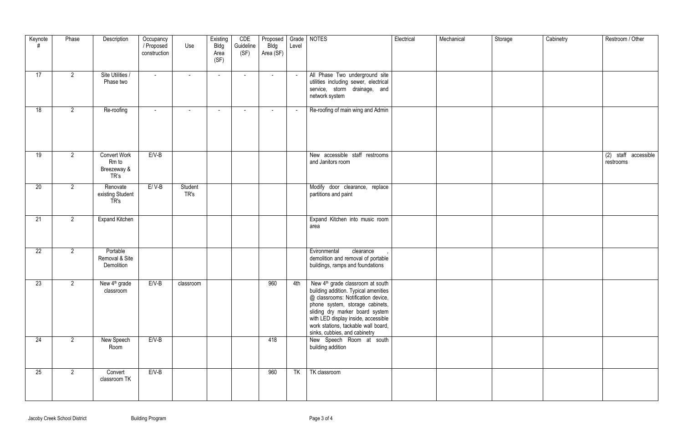| Keynote | Phase          | Description                                         | Occupancy<br>/ Proposed<br>construction | Use                      | Existing<br><b>Bldg</b><br>Area<br>(SF) | CDE<br>Guideline<br>(SF) | Proposed   Grade   NOTES<br><b>Bldg</b><br>Area (SF) | Level  |                                                                                                                                                                                                                                                                                                               | Electrical | Mechanical | Storage | Cabinetry | Restroom / Other                  |
|---------|----------------|-----------------------------------------------------|-----------------------------------------|--------------------------|-----------------------------------------|--------------------------|------------------------------------------------------|--------|---------------------------------------------------------------------------------------------------------------------------------------------------------------------------------------------------------------------------------------------------------------------------------------------------------------|------------|------------|---------|-----------|-----------------------------------|
| 17      | $\overline{2}$ | Site Utilities /<br>Phase two                       | $\sim$                                  | $\sim$                   | $\sim$                                  | $\sim$                   | $\sim$                                               | $\sim$ | All Phase Two underground site<br>utilities including sewer, electrical<br>service, storm drainage, and<br>network system                                                                                                                                                                                     |            |            |         |           |                                   |
| 18      | $\overline{2}$ | Re-roofing                                          | $\blacksquare$                          | $\overline{\phantom{a}}$ | $\sim$                                  | $\sim$                   |                                                      | $\sim$ | Re-roofing of main wing and Admin                                                                                                                                                                                                                                                                             |            |            |         |           |                                   |
| 19      | $\overline{2}$ | <b>Convert Work</b><br>Rm to<br>Breezeway &<br>TR's | $E/V-B$                                 |                          |                                         |                          |                                                      |        | New accessible staff restrooms<br>and Janitors room                                                                                                                                                                                                                                                           |            |            |         |           | (2) staff accessible<br>restrooms |
| 20      | $\overline{2}$ | Renovate<br>existing Student<br>TR's                | $E/V-B$                                 | Student<br>TR's          |                                         |                          |                                                      |        | Modify door clearance, replace<br>partitions and paint                                                                                                                                                                                                                                                        |            |            |         |           |                                   |
| 21      | $\overline{2}$ | <b>Expand Kitchen</b>                               |                                         |                          |                                         |                          |                                                      |        | Expand Kitchen into music room<br>area                                                                                                                                                                                                                                                                        |            |            |         |           |                                   |
| 22      | $\overline{2}$ | Portable<br>Removal & Site<br>Demolition            |                                         |                          |                                         |                          |                                                      |        | Evironmental<br>clearance<br>demolition and removal of portable<br>buildings, ramps and foundations                                                                                                                                                                                                           |            |            |         |           |                                   |
| 23      | $\overline{2}$ | New 4 <sup>th</sup> grade<br>classroom              | $E/V-B$                                 | classroom                |                                         |                          | 960                                                  |        | 4th   New $4th$ grade classroom at south  <br>building addition. Typical amenities<br>@ classrooms: Notification device,<br>phone system, storage cabinets,<br>sliding dry marker board system<br>with LED display inside, accessible<br>work stations, tackable wall board,<br>sinks, cubbies, and cabinetry |            |            |         |           |                                   |
| 24      | $\overline{2}$ | New Speech<br>Room                                  | $E/V-B$                                 |                          |                                         |                          | 418                                                  |        | New Speech Room at south<br>building addition                                                                                                                                                                                                                                                                 |            |            |         |           |                                   |
| 25      | $\overline{2}$ | Convert<br>classroom TK                             | $E/V-B$                                 |                          |                                         |                          | 960                                                  | TK     | TK classroom                                                                                                                                                                                                                                                                                                  |            |            |         |           |                                   |